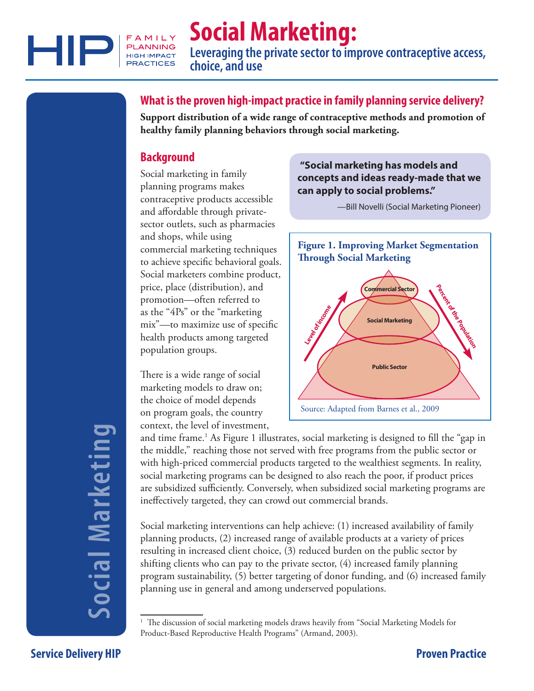

# **Social Marketing:**

**Leveraging the private sector to improve contraceptive access, choice, and use**

# **What is the proven high-impact practice in family planning service delivery?**

**Support distribution of a wide range of contraceptive methods and promotion of healthy family planning behaviors through social marketing.** 

# **Background**

Social marketing in family planning programs makes contraceptive products accessible and affordable through privatesector outlets, such as pharmacies and shops, while using commercial marketing techniques to achieve specific behavioral goals. Social marketers combine product, price, place (distribution), and promotion—often referred to as the "4Ps" or the "marketing mix"—to maximize use of specific health products among targeted population groups.

There is a wide range of social marketing models to draw on; the choice of model depends on program goals, the country context, the level of investment,

### **"Social marketing has models and concepts and ideas ready-made that we can apply to social problems."**

—Bill Novelli (Social Marketing Pioneer)



and time frame.<sup>1</sup> As Figure 1 illustrates, social marketing is designed to fill the "gap in the middle," reaching those not served with free programs from the public sector or with high-priced commercial products targeted to the wealthiest segments. In reality, social marketing programs can be designed to also reach the poor, if product prices are subsidized sufficiently. Conversely, when subsidized social marketing programs are ineffectively targeted, they can crowd out commercial brands.

Social marketing interventions can help achieve: (1) increased availability of family planning products, (2) increased range of available products at a variety of prices resulting in increased client choice, (3) reduced burden on the public sector by shifting clients who can pay to the private sector, (4) increased family planning program sustainability, (5) better targeting of donor funding, and (6) increased family planning use in general and among underserved populations.

# ocial Marketing **Social Marketing**

<sup>&</sup>lt;sup>1</sup> The discussion of social marketing models draws heavily from "Social Marketing Models for Product-Based Reproductive Health Programs" (Armand, 2003).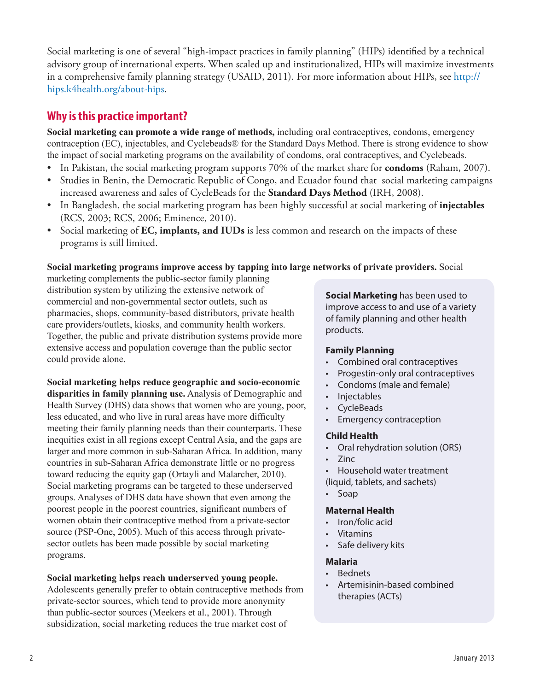Social marketing is one of several "high-impact practices in family planning" (HIPs) identified by a technical advisory group of international experts. When scaled up and institutionalized, HIPs will maximize investments in a comprehensive family planning strategy (USAID, 2011). For more information about HIPs, see [http://](http://hips.k4health.org/about-hips) [hips.k4health.org/about-hips](http://hips.k4health.org/about-hips).

# **Why is this practice important?**

**Social marketing can promote a wide range of methods,** including oral contraceptives, condoms, emergency contraception (EC), injectables, and Cyclebeads® for the Standard Days Method. There is strong evidence to show the impact of social marketing programs on the availability of condoms, oral contraceptives, and Cyclebeads.

- In Pakistan, the social marketing program supports 70% of the market share for **condoms** (Raham, 2007).
- Studies in Benin, the Democratic Republic of Congo, and Ecuador found that social marketing campaigns increased awareness and sales of CycleBeads for the **Standard Days Method** (IRH, 2008).
- • In Bangladesh, the social marketing program has been highly successful at social marketing of **injectables** (RCS, 2003; RCS, 2006; Eminence, 2010).
- • Social marketing of **EC, implants, and IUDs** is less common and research on the impacts of these programs is still limited.

#### **Social marketing programs improve access by tapping into large networks of private providers.** Social

marketing complements the public-sector family planning distribution system by utilizing the extensive network of commercial and non-governmental sector outlets, such as pharmacies, shops, community-based distributors, private health care providers/outlets, kiosks, and community health workers. Together, the public and private distribution systems provide more extensive access and population coverage than the public sector could provide alone.

**Social marketing helps reduce geographic and socio-economic disparities in family planning use.** Analysis of Demographic and Health Survey (DHS) data shows that women who are young, poor, less educated, and who live in rural areas have more difficulty meeting their family planning needs than their counterparts. These inequities exist in all regions except Central Asia, and the gaps are larger and more common in sub-Saharan Africa. In addition, many countries in sub-Saharan Africa demonstrate little or no progress toward reducing the equity gap (Ortayli and Malarcher, 2010). Social marketing programs can be targeted to these underserved groups. Analyses of DHS data have shown that even among the poorest people in the poorest countries, significant numbers of women obtain their contraceptive method from a private-sector source (PSP-One, 2005). Much of this access through privatesector outlets has been made possible by social marketing programs.

#### **Social marketing helps reach underserved young people.**

Adolescents generally prefer to obtain contraceptive methods from private-sector sources, which tend to provide more anonymity than public-sector sources (Meekers et al., 2001). Through subsidization, social marketing reduces the true market cost of

**Social Marketing** has been used to improve access to and use of a variety of family planning and other health products.

#### **Family Planning**

- • Combined oral contraceptives
- Progestin-only oral contraceptives
- • Condoms (male and female)
- Injectables
- • CycleBeads
- • Emergency contraception

#### **Child Health**

- • Oral rehydration solution (ORS)
- • Zinc
- Household water treatment (liquid, tablets, and sachets)
- Soap

#### **Maternal Health**

- Iron/folic acid
- • Vitamins
- • Safe delivery kits

#### **Malaria**

- **Bednets**
- • Artemisinin-based combined therapies (ACTs)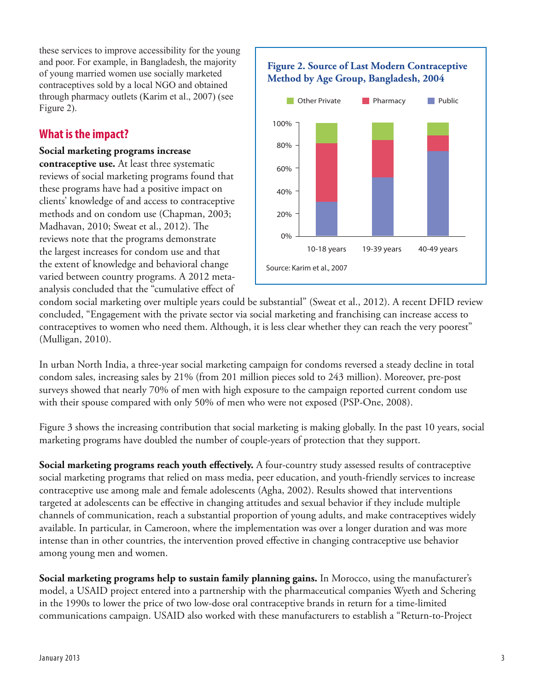these services to improve accessibility for the young and poor. For example, in Bangladesh, the majority of young married women use socially marketed contraceptives sold by a local NGO and obtained through pharmacy outlets (Karim et al., 2007) (see Figure 2).

# **What is the impact?**

#### **Social marketing programs increase**

**contraceptive use.** At least three systematic reviews of social marketing programs found that these programs have had a positive impact on clients' knowledge of and access to contraceptive methods and on condom use (Chapman, 2003; Madhavan, 2010; Sweat et al., 2012). The reviews note that the programs demonstrate the largest increases for condom use and that the extent of knowledge and behavioral change varied between country programs. A 2012 metaanalysis concluded that the "cumulative effect of



condom social marketing over multiple years could be substantial" (Sweat et al., 2012). A recent DFID review concluded, "Engagement with the private sector via social marketing and franchising can increase access to contraceptives to women who need them. Although, it is less clear whether they can reach the very poorest" (Mulligan, 2010).

In urban North India, a three-year social marketing campaign for condoms reversed a steady decline in total condom sales, increasing sales by 21% (from 201 million pieces sold to 243 million). Moreover, pre-post surveys showed that nearly 70% of men with high exposure to the campaign reported current condom use with their spouse compared with only 50% of men who were not exposed (PSP-One, 2008).

Figure 3 shows the increasing contribution that social marketing is making globally. In the past 10 years, social marketing programs have doubled the number of couple-years of protection that they support.

**Social marketing programs reach youth effectively.** A four-country study assessed results of contraceptive social marketing programs that relied on mass media, peer education, and youth-friendly services to increase contraceptive use among male and female adolescents (Agha, 2002). Results showed that interventions targeted at adolescents can be effective in changing attitudes and sexual behavior if they include multiple channels of communication, reach a substantial proportion of young adults, and make contraceptives widely available. In particular, in Cameroon, where the implementation was over a longer duration and was more intense than in other countries, the intervention proved effective in changing contraceptive use behavior among young men and women.

**Social marketing programs help to sustain family planning gains.** In Morocco, using the manufacturer's model, a USAID project entered into a partnership with the pharmaceutical companies Wyeth and Schering in the 1990s to lower the price of two low-dose oral contraceptive brands in return for a time-limited communications campaign. USAID also worked with these manufacturers to establish a "Return-to-Project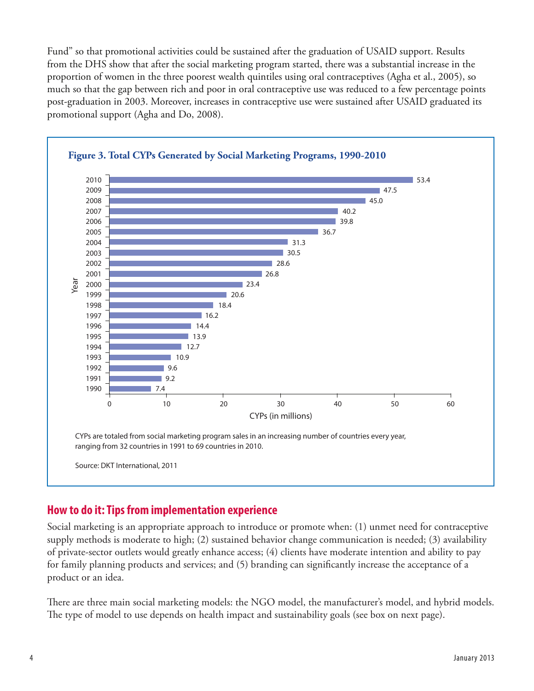Fund" so that promotional activities could be sustained after the graduation of USAID support. Results from the DHS show that after the social marketing program started, there was a substantial increase in the proportion of women in the three poorest wealth quintiles using oral contraceptives (Agha et al., 2005), so much so that the gap between rich and poor in oral contraceptive use was reduced to a few percentage points post-graduation in 2003. Moreover, increases in contraceptive use were sustained after USAID graduated its promotional support (Agha and Do, 2008).



# **How to do it: Tips from implementation experience**

Social marketing is an appropriate approach to introduce or promote when: (1) unmet need for contraceptive supply methods is moderate to high; (2) sustained behavior change communication is needed; (3) availability of private-sector outlets would greatly enhance access; (4) clients have moderate intention and ability to pay for family planning products and services; and (5) branding can significantly increase the acceptance of a product or an idea.

There are three main social marketing models: the NGO model, the manufacturer's model, and hybrid models. The type of model to use depends on health impact and sustainability goals (see box on next page).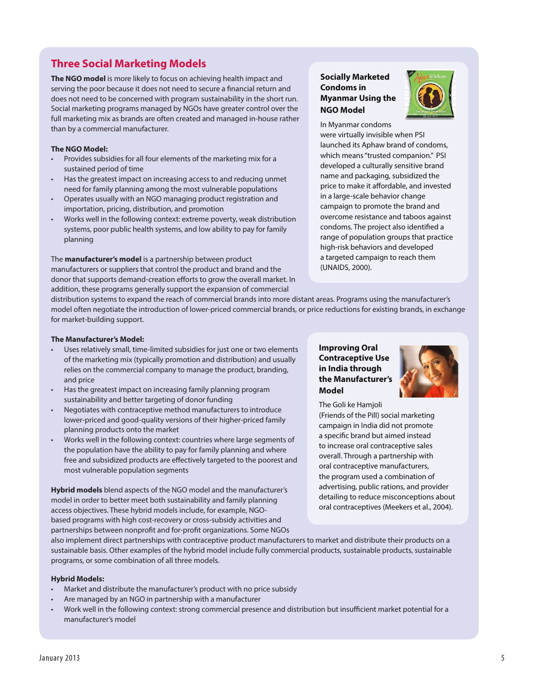# **Three Social Marketing Models**

**The NGO model** is more likely to focus on achieving health impact and serving the poor because it does not need to secure a financial return and does not need to be concerned with program sustainability in the short run. Social marketing programs managed by NGOs have greater control over the full marketing mix as brands are often created and managed in-house rather than by a commercial manufacturer.

#### **The NGO Model:**

- Provides subsidies for all four elements of the marketing mix for a sustained period of time
- Has the greatest impact on increasing access to and reducing unmet need for family planning among the most vulnerable populations
- Operates usually with an NGO managing product registration and importation, pricing, distribution, and promotion
- Works well in the following context: extreme poverty, weak distribution systems, poor public health systems, and low ability to pay for family planning

The **manufacturer's model** is a partnership between product manufacturers or suppliers that control the product and brand and the donor that supports demand-creation efforts to grow the overall market. In addition, these programs generally support the expansion of commercial

#### **Socially Marketed Condoms in Myanmar Using the NGO Model**



In Myanmar condoms were virtually invisible when PSI launched its Aphaw brand of condoms, which means"trusted companion." PSI developed a culturally sensitive brand name and packaging, subsidized the price to make it affordable, and invested in a large-scale behavior change campaign to promote the brand and overcome resistance and taboos against condoms. The project also identified a range of population groups that practice high-risk behaviors and developed a targeted campaign to reach them (UNAIDS, 2000).

distribution systems to expand the reach of commercial brands into more distant areas. Programs using the manufacturer's model often negotiate the introduction of lower-priced commercial brands, or price reductions for existing brands, in exchange for market-building support.

#### **The Manufacturer's Model:**

- Uses relatively small, time-limited subsidies for just one or two elements of the marketing mix (typically promotion and distribution) and usually relies on the commercial company to manage the product, branding, and price
- • Has the greatest impact on increasing family planning program sustainability and better targeting of donor funding
- • Negotiates with contraceptive method manufacturers to introduce lower-priced and good-quality versions of their higher-priced family planning products onto the market
- Works well in the following context: countries where large segments of the population have the ability to pay for family planning and where free and subsidized products are effectively targeted to the poorest and most vulnerable population segments

**Hybrid models** blend aspects of the NGO model and the manufacturer's model in order to better meet both sustainability and family planning access objectives. These hybrid models include, for example, NGObased programs with high cost-recovery or cross-subsidy activities and partnerships between nonprofit and for-profit organizations. Some NGOs

#### **Improving Oral Contraceptive Use in India through the Manufacturer's Model**



The Goli ke Hamjoli

(Friends of the Pill) social marketing campaign in India did not promote a specific brand but aimed instead to increase oral contraceptive sales overall. Through a partnership with oral contraceptive manufacturers, the program used a combination of advertising, public rations, and provider detailing to reduce misconceptions about oral contraceptives (Meekers et al., 2004).

also implement direct partnerships with contraceptive product manufacturers to market and distribute their products on a sustainable basis. Other examples of the hybrid model include fully commercial products, sustainable products, sustainable programs, or some combination of all three models.

#### **Hybrid Models:**

- Market and distribute the manufacturer's product with no price subsidy
- Are managed by an NGO in partnership with a manufacturer
- Work well in the following context: strong commercial presence and distribution but insufficient market potential for a manufacturer's model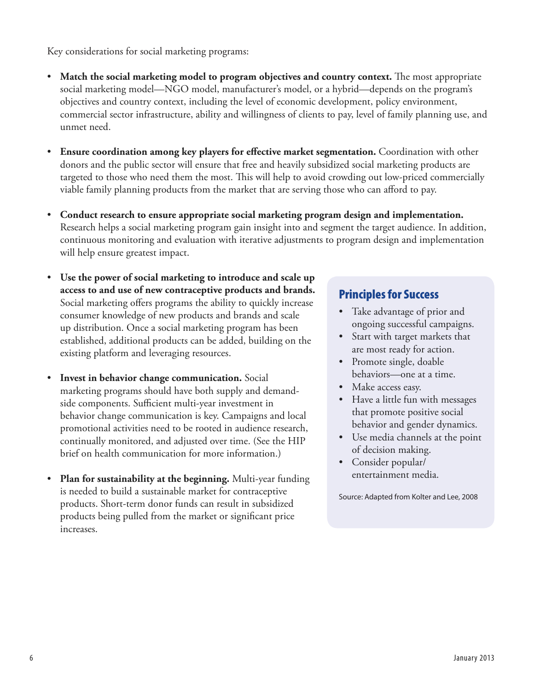Key considerations for social marketing programs:

- • **Match the social marketing model to program objectives and country context.** The most appropriate social marketing model—NGO model, manufacturer's model, or a hybrid—depends on the program's objectives and country context, including the level of economic development, policy environment, commercial sector infrastructure, ability and willingness of clients to pay, level of family planning use, and unmet need.
- **Ensure coordination among key players for effective market segmentation.** Coordination with other donors and the public sector will ensure that free and heavily subsidized social marketing products are targeted to those who need them the most. This will help to avoid crowding out low-priced commercially viable family planning products from the market that are serving those who can afford to pay.
- • **Conduct research to ensure appropriate social marketing program design and implementation.** Research helps a social marketing program gain insight into and segment the target audience. In addition, continuous monitoring and evaluation with iterative adjustments to program design and implementation will help ensure greatest impact.
- **Use the power of social marketing to introduce and scale up access to and use of new contraceptive products and brands.** Social marketing offers programs the ability to quickly increase consumer knowledge of new products and brands and scale up distribution. Once a social marketing program has been established, additional products can be added, building on the existing platform and leveraging resources.
- **Invest in behavior change communication.** Social marketing programs should have both supply and demandside components. Sufficient multi-year investment in behavior change communication is key. Campaigns and local promotional activities need to be rooted in audience research, continually monitored, and adjusted over time. (See the HIP brief on health communication for more information.)
- **Plan for sustainability at the beginning.** Multi-year funding is needed to build a sustainable market for contraceptive products. Short-term donor funds can result in subsidized products being pulled from the market or significant price increases.

# Principles for Success

- Take advantage of prior and ongoing successful campaigns.
- • Start with target markets that are most ready for action.
- Promote single, doable behaviors—one at a time.
- Make access easy.
- Have a little fun with messages that promote positive social behavior and gender dynamics.
- Use media channels at the point of decision making.
- Consider popular/ entertainment media.

Source: Adapted from Kolter and Lee, 2008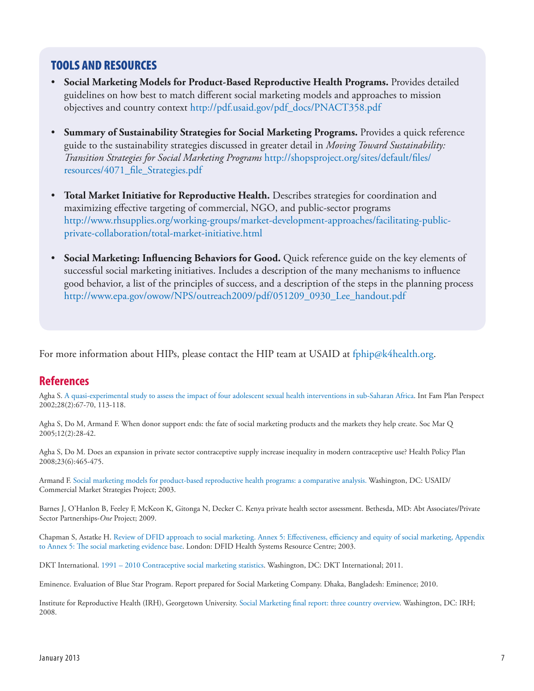# TOOLS AND RESOURCES

- • **Social Marketing Models for Product-Based Reproductive Health Programs.** Provides detailed guidelines on how best to match different social marketing models and approaches to mission objectives and country context [http://pdf.usaid.gov/pdf\\_docs/PNACT358.pdf](http://pdf.usaid.gov/pdf_docs/PNACT358.pdf)
- • **Summary of Sustainability Strategies for Social Marketing Programs.** Provides a quick reference guide to the sustainability strategies discussed in greater detail in *Moving Toward Sustainability: Transition Strategies for Social Marketing Programs* [http://shopsproject.org/sites/default/files/](http://shopsproject.org/sites/default/files/resources/4071_file_Strategies.pdf ) [resources/4071\\_file\\_Strategies.pdf](http://shopsproject.org/sites/default/files/resources/4071_file_Strategies.pdf )
- • **Total Market Initiative for Reproductive Health.** Describes strategies for coordination and maximizing effective targeting of commercial, NGO, and public-sector programs [http://www.rhsupplies.org/working-groups/market-development-approaches/facilitating-public](http://www.rhsupplies.org/working-groups/market-development-approaches/facilitating-public-private-collaboration/total-market-initiative.html)[private-collaboration/total-market-initiative.html](http://www.rhsupplies.org/working-groups/market-development-approaches/facilitating-public-private-collaboration/total-market-initiative.html)
- **Social Marketing: Influencing Behaviors for Good.** Quick reference guide on the key elements of successful social marketing initiatives. Includes a description of the many mechanisms to influence good behavior, a list of the principles of success, and a description of the steps in the planning process [http://www.epa.gov/owow/NPS/outreach2009/pdf/051209\\_0930\\_Lee\\_handout.pdf](http://www.epa.gov/owow/NPS/outreach2009/pdf/051209_0930_Lee_handout.pdf)

For more information about HIPs, please contact the HIP team at USAID at [fphip@k4health.org](mailto:fphip%40k4health.org.%20?subject=).

# **References**

Agha S. [A quasi-experimental study to assess the impact of four adolescent sexual health interventions in sub-Saharan Africa.](http://www.guttmacher.org/pubs/journals/2806702.pdf) Int Fam Plan Perspect 2002;28(2):67-70, 113-118.

Agha S, Do M, Armand F. When donor support ends: the fate of social marketing products and the markets they help create. Soc Mar Q 2005;12(2):28-42.

Agha S, Do M. Does an expansion in private sector contraceptive supply increase inequality in modern contraceptive use? Health Policy Plan 2008;23(6):465-475.

Armand F. [Social marketing models for product-based reproductive health programs: a comparative analysis.](http://pdf.usaid.gov/pdf_docs/PNACT358.pdf) Washington, DC: USAID/ Commercial Market Strategies Project; 2003.

Barnes J, O'Hanlon B, Feeley F, McKeon K, Gitonga N, Decker C. Kenya private health sector assessment. Bethesda, MD: Abt Associates/Private Sector Partnerships-*One* Project; 2009.

Chapman S, Astatke H. Review of DFID approach to social marketing. Annex 5: [Effectiveness,](http://hdrc.dfid.gov.uk/wp-content/uploads/2012/10/Review-of-DFID-approach-to-Social-Marketing-Annex5.pdf) efficiency and equity of social marketing, Appendix [to Annex 5: The social marketing evidence base](http://hdrc.dfid.gov.uk/wp-content/uploads/2012/10/Review-of-DFID-approach-to-Social-Marketing-Annex5.pdf). London: DFID Health Systems Resource Centre; 2003.

DKT International. [1991 – 2010 Contraceptive social marketing statistics](http://www.dktinternational.org/publications-resources/contraceptive-social-marketing-statistics/). Washington, DC: DKT International; 2011.

Eminence. Evaluation of Blue Star Program. Report prepared for Social Marketing Company. Dhaka, Bangladesh: Eminence; 2010.

Institute for Reproductive Health (IRH), Georgetown University. Social [Marketing final report: three country overview](http://pdf.usaid.gov/pdf_docs/PNADL891.pdf). Washington, DC: IRH; 2008.